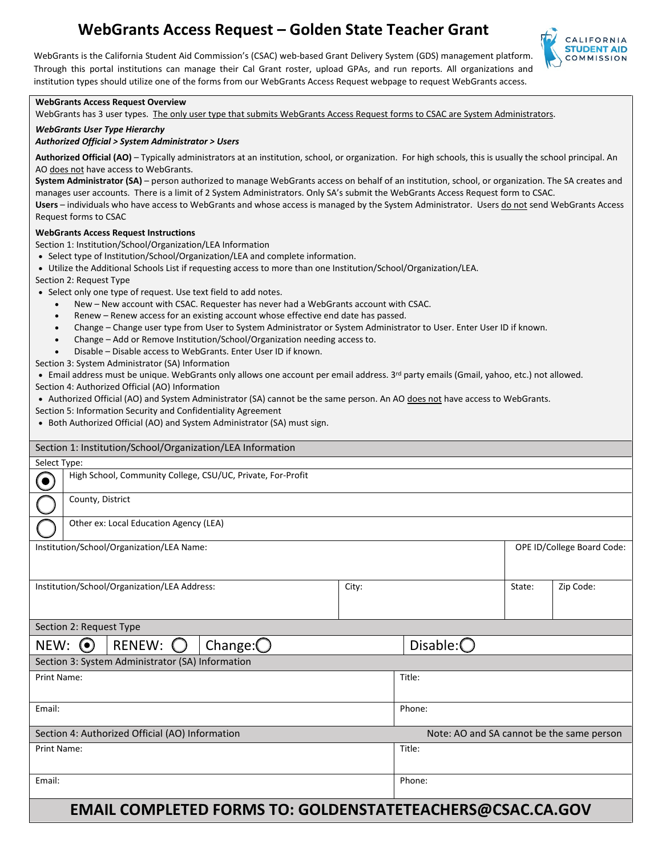# **WebGrants Access Request – Golden State Teacher Grant**



 WebGrants is the California Student Aid Commission's (CSAC) web-based Grant Delivery System (GDS) management platform. Through this portal institutions can manage their Cal Grant roster, upload GPAs, and run reports. All organizations and institution types should utilize one of the forms from our WebGrants Access Request webpage to request WebGrants access.

#### **WebGrants Access Request Overview**

WebGrants has 3 user types. The only user type that submits WebGrants Access Request forms to CSAC are System Administrators.

#### *WebGrants User Type Hierarchy*

#### *Authorized Official > System Administrator > Users*

 **Authorized Official (AO)** – Typically administrators at an institution, school, or organization. For high schools, this is usually the school principal. An AO does not have access to WebGrants.

 **System Administrator (SA)** – person authorized to manage WebGrants access on behalf of an institution, school, or organization. The SA creates and gamza<br>form to<br><u>do not</u> manages user accounts. There is a limit of 2 System Administrators. Only SA's submit the WebGrants Access Request form to CSAC. Users – individuals who have access to WebGrants and whose access is managed by the System Administrator. Users do not send WebGrants Access Request forms to CSAC

#### **WebGrants Access Request Instructions**

Section 1: Institution/School/Organization/LEA Information

- Select type of Institution/School/Organization/LEA and complete information.
- Utilize the Additional Schools List if requesting access to more than one Institution/School/Organization/LEA.
- Section 2: Request Type
- Select only one type of request. Use text field to add notes.
	- New New account with CSAC. Requester has never had a WebGrants account with CSAC.
	- Renew Renew access for an existing account whose effective end date has passed.
	- Change Change user type from User to System Administrator or System Administrator to User. Enter User ID if known.
	- Change Add or Remove Institution/School/Organization needing access to.
	- Disable Disable access to WebGrants. Enter User ID if known.

Section 3: System Administrator (SA) Information

• Email address must be unique. WebGrants only allows one account per email address. 3<sup>rd</sup> party emails (Gmail, yahoo, etc.) not allowed.

Section 4: Authorized Official (AO) Information

- Authorized Official (AO) and System Administrator (SA) cannot be the same person. An AO does not have access to WebGrants.
- Section 5: Information Security and Confidentiality Agreement
- Both Authorized Official (AO) and System Administrator (SA) must sign.

| Section 1: Institution/School/Organization/LEA Information                                                                                                                                                                                                                                                                                                                                                                                                                                                                   |                                                             |  |  |  |       |                                           |  |        |           |
|------------------------------------------------------------------------------------------------------------------------------------------------------------------------------------------------------------------------------------------------------------------------------------------------------------------------------------------------------------------------------------------------------------------------------------------------------------------------------------------------------------------------------|-------------------------------------------------------------|--|--|--|-------|-------------------------------------------|--|--------|-----------|
| Select Type:                                                                                                                                                                                                                                                                                                                                                                                                                                                                                                                 |                                                             |  |  |  |       |                                           |  |        |           |
| $\odot$                                                                                                                                                                                                                                                                                                                                                                                                                                                                                                                      | High School, Community College, CSU/UC, Private, For-Profit |  |  |  |       |                                           |  |        |           |
|                                                                                                                                                                                                                                                                                                                                                                                                                                                                                                                              | County, District                                            |  |  |  |       |                                           |  |        |           |
|                                                                                                                                                                                                                                                                                                                                                                                                                                                                                                                              | Other ex: Local Education Agency (LEA)                      |  |  |  |       |                                           |  |        |           |
| Institution/School/Organization/LEA Name:                                                                                                                                                                                                                                                                                                                                                                                                                                                                                    |                                                             |  |  |  |       | OPE ID/College Board Code:                |  |        |           |
| Institution/School/Organization/LEA Address:                                                                                                                                                                                                                                                                                                                                                                                                                                                                                 |                                                             |  |  |  | City: |                                           |  | State: | Zip Code: |
| Section 2: Request Type                                                                                                                                                                                                                                                                                                                                                                                                                                                                                                      |                                                             |  |  |  |       |                                           |  |        |           |
| Change: $\bigcirc$<br>RENEW:<br>$NEW:$ $\odot$                                                                                                                                                                                                                                                                                                                                                                                                                                                                               |                                                             |  |  |  |       | Disable: $\bigcirc$                       |  |        |           |
| Section 3: System Administrator (SA) Information                                                                                                                                                                                                                                                                                                                                                                                                                                                                             |                                                             |  |  |  |       |                                           |  |        |           |
| <b>Print Name:</b>                                                                                                                                                                                                                                                                                                                                                                                                                                                                                                           |                                                             |  |  |  |       | Title:                                    |  |        |           |
| Email:                                                                                                                                                                                                                                                                                                                                                                                                                                                                                                                       |                                                             |  |  |  |       | Phone:                                    |  |        |           |
| Section 4: Authorized Official (AO) Information                                                                                                                                                                                                                                                                                                                                                                                                                                                                              |                                                             |  |  |  |       | Note: AO and SA cannot be the same person |  |        |           |
| <b>Print Name:</b>                                                                                                                                                                                                                                                                                                                                                                                                                                                                                                           |                                                             |  |  |  |       | Title:                                    |  |        |           |
| Email:                                                                                                                                                                                                                                                                                                                                                                                                                                                                                                                       |                                                             |  |  |  |       | Phone:                                    |  |        |           |
| FRAAH AARADIFFER F<br>$\blacksquare$ $\blacksquare$ $\blacksquare$ $\blacksquare$ $\blacksquare$ $\blacksquare$ $\blacksquare$ $\blacksquare$ $\blacksquare$ $\blacksquare$ $\blacksquare$ $\blacksquare$ $\blacksquare$ $\blacksquare$ $\blacksquare$ $\blacksquare$ $\blacksquare$ $\blacksquare$ $\blacksquare$ $\blacksquare$ $\blacksquare$ $\blacksquare$ $\blacksquare$ $\blacksquare$ $\blacksquare$ $\blacksquare$ $\blacksquare$ $\blacksquare$ $\blacksquare$ $\blacksquare$ $\blacksquare$ $\blacks$<br>-АВААЛ-А |                                                             |  |  |  |       |                                           |  |        |           |

# **EMAIL COMPLETED FORMS TO: GOLDENSTATETEACHERS@CSAC.CA.GOV**